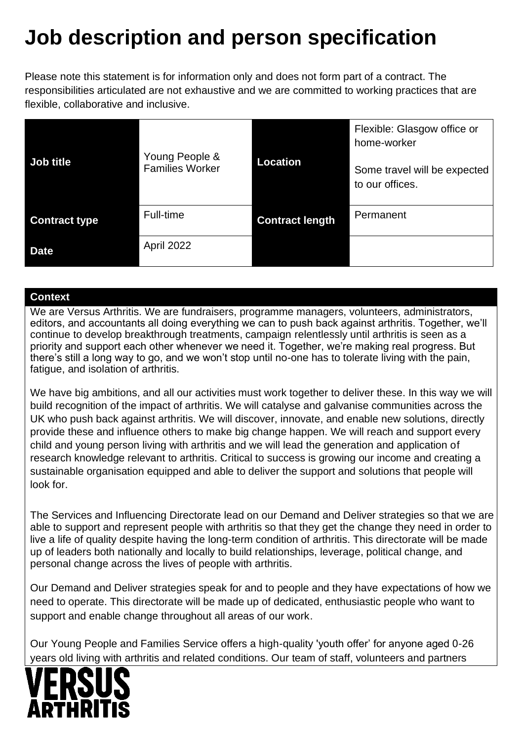# **Job description and person specification**

Please note this statement is for information only and does not form part of a contract. The responsibilities articulated are not exhaustive and we are committed to working practices that are flexible, collaborative and inclusive.

|                      | Young People &<br><b>Families Worker</b> | Location               | Flexible: Glasgow office or<br>home-worker      |
|----------------------|------------------------------------------|------------------------|-------------------------------------------------|
| Job title            |                                          |                        | Some travel will be expected<br>to our offices. |
| <b>Contract type</b> | Full-time                                | <b>Contract length</b> | Permanent                                       |
| <b>Date</b>          | April 2022                               |                        |                                                 |

#### **Context**

We are Versus Arthritis. We are fundraisers, programme managers, volunteers, administrators, editors, and accountants all doing everything we can to push back against arthritis. Together, we'll continue to develop breakthrough treatments, campaign relentlessly until arthritis is seen as a priority and support each other whenever we need it. Together, we're making real progress. But there's still a long way to go, and we won't stop until no-one has to tolerate living with the pain, fatigue, and isolation of arthritis.

We have big ambitions, and all our activities must work together to deliver these. In this way we will build recognition of the impact of arthritis. We will catalyse and galvanise communities across the UK who push back against arthritis. We will discover, innovate, and enable new solutions, directly provide these and influence others to make big change happen. We will reach and support every child and young person living with arthritis and we will lead the generation and application of research knowledge relevant to arthritis. Critical to success is growing our income and creating a sustainable organisation equipped and able to deliver the support and solutions that people will look for.

The Services and Influencing Directorate lead on our Demand and Deliver strategies so that we are able to support and represent people with arthritis so that they get the change they need in order to live a life of quality despite having the long-term condition of arthritis. This directorate will be made up of leaders both nationally and locally to build relationships, leverage, political change, and personal change across the lives of people with arthritis.

Our Demand and Deliver strategies speak for and to people and they have expectations of how we need to operate. This directorate will be made up of dedicated, enthusiastic people who want to support and enable change throughout all areas of our work.

Our Young People and Families Service offers a high-quality 'youth offer' for anyone aged 0-26 years old living with arthritis and related conditions. Our team of staff, volunteers and partners

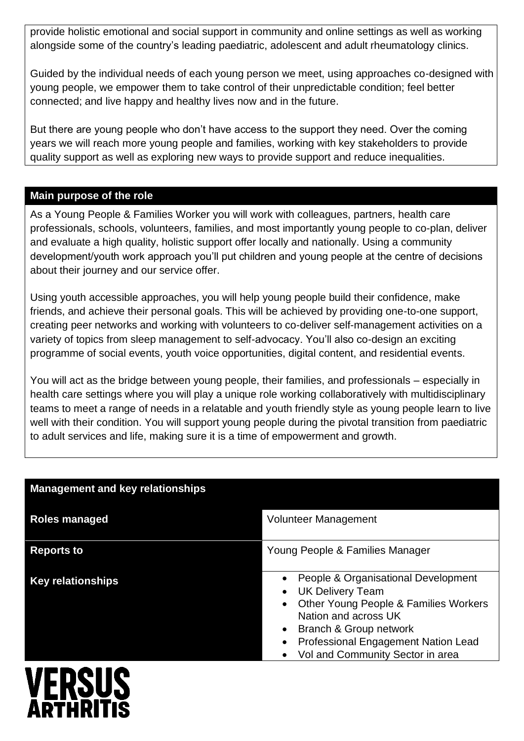provide holistic emotional and social support in community and online settings as well as working alongside some of the country's leading paediatric, adolescent and adult rheumatology clinics.

Guided by the individual needs of each young person we meet, using approaches co-designed with young people, we empower them to take control of their unpredictable condition; feel better connected; and live happy and healthy lives now and in the future.

But there are young people who don't have access to the support they need. Over the coming years we will reach more young people and families, working with key stakeholders to provide quality support as well as exploring new ways to provide support and reduce inequalities.

#### **Main purpose of the role**

As a Young People & Families Worker you will work with colleagues, partners, health care professionals, schools, volunteers, families, and most importantly young people to co-plan, deliver and evaluate a high quality, holistic support offer locally and nationally. Using a community development/youth work approach you'll put children and young people at the centre of decisions about their journey and our service offer.

Using youth accessible approaches, you will help young people build their confidence, make friends, and achieve their personal goals. This will be achieved by providing one-to-one support, creating peer networks and working with volunteers to co-deliver self-management activities on a variety of topics from sleep management to self-advocacy. You'll also co-design an exciting programme of social events, youth voice opportunities, digital content, and residential events.

You will act as the bridge between young people, their families, and professionals – especially in health care settings where you will play a unique role working collaboratively with multidisciplinary teams to meet a range of needs in a relatable and youth friendly style as young people learn to live well with their condition. You will support young people during the pivotal transition from paediatric to adult services and life, making sure it is a time of empowerment and growth.

| <b>Management and key relationships</b> |                                                                                                                                                                                                                                      |  |
|-----------------------------------------|--------------------------------------------------------------------------------------------------------------------------------------------------------------------------------------------------------------------------------------|--|
| <b>Roles managed</b>                    | <b>Volunteer Management</b>                                                                                                                                                                                                          |  |
| <b>Reports to</b>                       | Young People & Families Manager                                                                                                                                                                                                      |  |
| <b>Key relationships</b>                | People & Organisational Development<br><b>UK Delivery Team</b><br>Other Young People & Families Workers<br>Nation and across UK<br>Branch & Group network<br>Professional Engagement Nation Lead<br>Vol and Community Sector in area |  |

# **VERSUS ADTHR**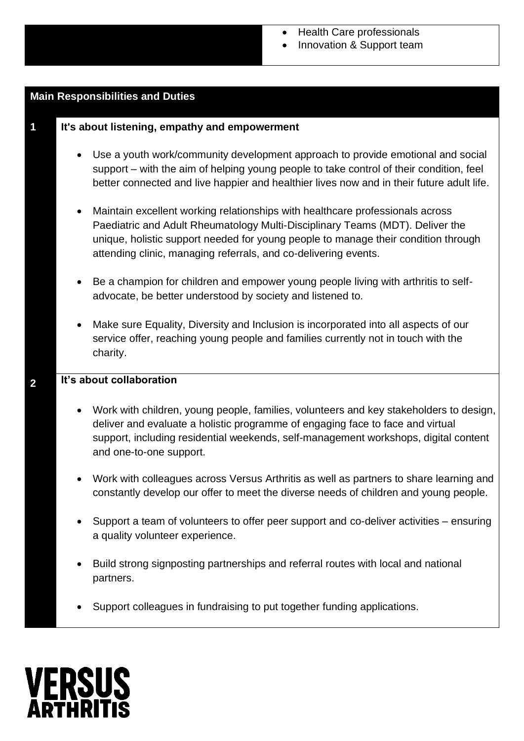#### • Health Care professionals

• Innovation & Support team

## **Main Responsibilities and Duties 1 It's about listening, empathy and empowerment** • Use a youth work/community development approach to provide emotional and social support – with the aim of helping young people to take control of their condition, feel better connected and live happier and healthier lives now and in their future adult life. • Maintain excellent working relationships with healthcare professionals across Paediatric and Adult Rheumatology Multi-Disciplinary Teams (MDT). Deliver the unique, holistic support needed for young people to manage their condition through attending clinic, managing referrals, and co-delivering events. • Be a champion for children and empower young people living with arthritis to selfadvocate, be better understood by society and listened to. • Make sure Equality, Diversity and Inclusion is incorporated into all aspects of our service offer, reaching young people and families currently not in touch with the charity. **It's about collaboration 2** • Work with children, young people, families, volunteers and key stakeholders to design, deliver and evaluate a holistic programme of engaging face to face and virtual support, including residential weekends, self-management workshops, digital content and one-to-one support. • Work with colleagues across Versus Arthritis as well as partners to share learning and constantly develop our offer to meet the diverse needs of children and young people. • Support a team of volunteers to offer peer support and co-deliver activities – ensuring a quality volunteer experience. • Build strong signposting partnerships and referral routes with local and national partners. Support colleagues in fundraising to put together funding applications. **VERSUS**

ADTUD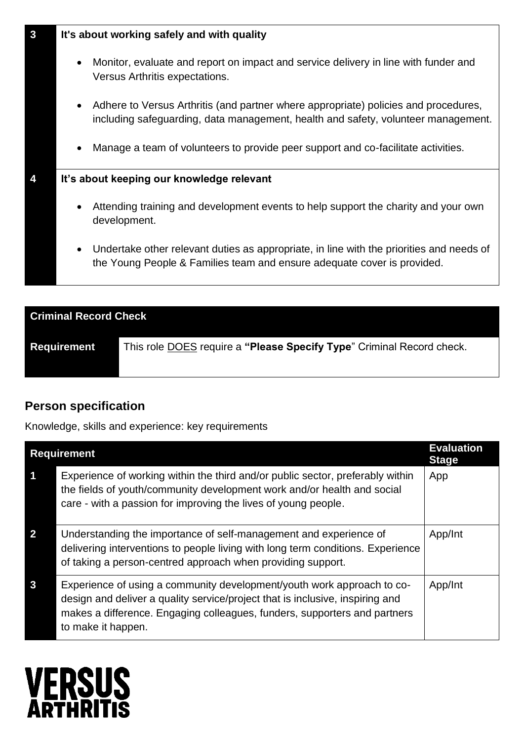| $\mathbf{3}$ | It's about working safely and with quality |                                                                                                                                                                          |  |
|--------------|--------------------------------------------|--------------------------------------------------------------------------------------------------------------------------------------------------------------------------|--|
|              | $\bullet$                                  | Monitor, evaluate and report on impact and service delivery in line with funder and<br>Versus Arthritis expectations.                                                    |  |
|              | $\bullet$                                  | Adhere to Versus Arthritis (and partner where appropriate) policies and procedures,<br>including safeguarding, data management, health and safety, volunteer management. |  |
|              | $\bullet$                                  | Manage a team of volunteers to provide peer support and co-facilitate activities.                                                                                        |  |
|              | It's about keeping our knowledge relevant  |                                                                                                                                                                          |  |
|              | $\bullet$                                  | Attending training and development events to help support the charity and your own<br>development.                                                                       |  |
|              | $\bullet$                                  | Undertake other relevant duties as appropriate, in line with the priorities and needs of<br>the Young People & Families team and ensure adequate cover is provided.      |  |
|              |                                            |                                                                                                                                                                          |  |

| <b>Criminal Record Check</b> |                                                                       |  |  |
|------------------------------|-----------------------------------------------------------------------|--|--|
| <b>Requirement</b>           | This role DOES require a "Please Specify Type" Criminal Record check. |  |  |

### **Person specification**

Knowledge, skills and experience: key requirements

| <b>Requirement</b> |                                                                                                                                                                                                                                                            | <b>Evaluation</b><br><b>Stage</b> |
|--------------------|------------------------------------------------------------------------------------------------------------------------------------------------------------------------------------------------------------------------------------------------------------|-----------------------------------|
| 1                  | Experience of working within the third and/or public sector, preferably within<br>the fields of youth/community development work and/or health and social<br>care - with a passion for improving the lives of young people.                                | App                               |
| $\overline{2}$     | Understanding the importance of self-management and experience of<br>delivering interventions to people living with long term conditions. Experience<br>of taking a person-centred approach when providing support.                                        | App/Int                           |
| 3                  | Experience of using a community development/youth work approach to co-<br>design and deliver a quality service/project that is inclusive, inspiring and<br>makes a difference. Engaging colleagues, funders, supporters and partners<br>to make it happen. | App/Int                           |

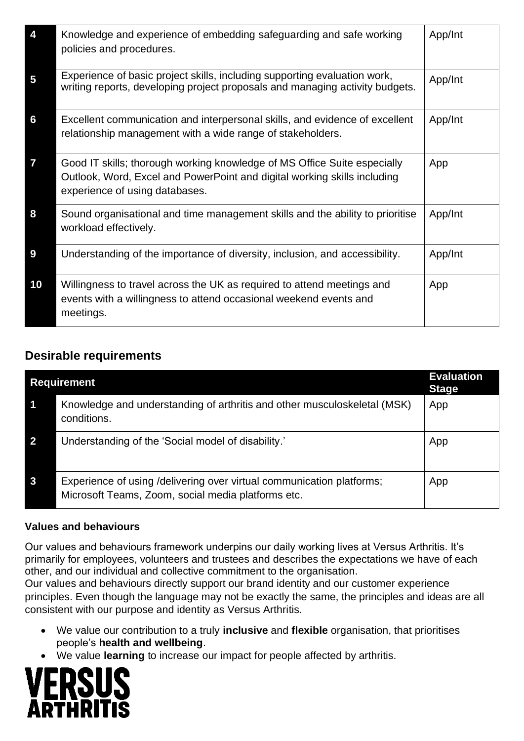| 4                       | Knowledge and experience of embedding safeguarding and safe working<br>policies and procedures.                                                                                        | App/Int |
|-------------------------|----------------------------------------------------------------------------------------------------------------------------------------------------------------------------------------|---------|
| $\overline{\mathbf{5}}$ | Experience of basic project skills, including supporting evaluation work,<br>writing reports, developing project proposals and managing activity budgets.                              | App/Int |
| 6                       | Excellent communication and interpersonal skills, and evidence of excellent<br>relationship management with a wide range of stakeholders.                                              | App/Int |
| $\overline{7}$          | Good IT skills; thorough working knowledge of MS Office Suite especially<br>Outlook, Word, Excel and PowerPoint and digital working skills including<br>experience of using databases. | App     |
| 8                       | Sound organisational and time management skills and the ability to prioritise<br>workload effectively.                                                                                 | App/Int |
| 9                       | Understanding of the importance of diversity, inclusion, and accessibility.                                                                                                            | App/Int |
| 10                      | Willingness to travel across the UK as required to attend meetings and<br>events with a willingness to attend occasional weekend events and<br>meetings.                               | App     |

### **Desirable requirements**

| <b>Requirement</b> |                                                                                                                             | <b>Evaluation</b><br><b>Stage</b> |
|--------------------|-----------------------------------------------------------------------------------------------------------------------------|-----------------------------------|
|                    | Knowledge and understanding of arthritis and other musculoskeletal (MSK)<br>conditions.                                     | App                               |
| $\overline{2}$     | Understanding of the 'Social model of disability.'                                                                          | App                               |
| $\mathbf{3}$       | Experience of using /delivering over virtual communication platforms;<br>Microsoft Teams, Zoom, social media platforms etc. | App                               |

#### **Values and behaviours**

Our values and behaviours framework underpins our daily working lives at Versus Arthritis. It's primarily for employees, volunteers and trustees and describes the expectations we have of each other, and our individual and collective commitment to the organisation.

Our values and behaviours directly support our brand identity and our customer experience principles. Even though the language may not be exactly the same, the principles and ideas are all consistent with our purpose and identity as Versus Arthritis.

- We value our contribution to a truly **inclusive** and **flexible** organisation, that prioritises people's **health and wellbeing**.
- We value **learning** to increase our impact for people affected by arthritis.